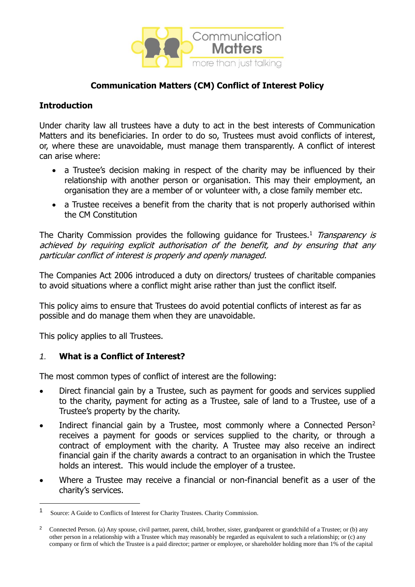

# **Communication Matters (CM) Conflict of Interest Policy**

### **Introduction**

Under charity law all trustees have a duty to act in the best interests of Communication Matters and its beneficiaries. In order to do so, Trustees must avoid conflicts of interest, or, where these are unavoidable, must manage them transparently. A conflict of interest can arise where:

- a Trustee's decision making in respect of the charity may be influenced by their relationship with another person or organisation. This may their employment, an organisation they are a member of or volunteer with, a close family member etc.
- a Trustee receives a benefit from the charity that is not properly authorised within the CM Constitution

The Charity Commission provides the following quidance for Trustees.<sup>1</sup> Transparency is achieved by requiring explicit authorisation of the benefit, and by ensuring that any particular conflict of interest is properly and openly managed.

The Companies Act 2006 introduced a duty on directors/ trustees of charitable companies to avoid situations where a conflict might arise rather than just the conflict itself.

This policy aims to ensure that Trustees do avoid potential conflicts of interest as far as possible and do manage them when they are unavoidable.

This policy applies to all Trustees.

1

### *1.* **What is a Conflict of Interest?**

The most common types of conflict of interest are the following:

- Direct financial gain by a Trustee, such as payment for goods and services supplied to the charity, payment for acting as a Trustee, sale of land to a Trustee, use of a Trustee's property by the charity.
- Indirect financial gain by a Trustee, most commonly where a Connected Person<sup>2</sup> receives a payment for goods or services supplied to the charity, or through a contract of employment with the charity. A Trustee may also receive an indirect financial gain if the charity awards a contract to an organisation in which the Trustee holds an interest. This would include the employer of a trustee.
- Where a Trustee may receive a financial or non-financial benefit as a user of the charity's services.

<sup>1</sup> Source: A Guide to Conflicts of Interest for Charity Trustees. Charity Commission.

<sup>2</sup> Connected Person. (a) Any spouse, civil partner, parent, child, brother, sister, grandparent or grandchild of a Trustee; or (b) any other person in a relationship with a Trustee which may reasonably be regarded as equivalent to such a relationship; or (c) any company or firm of which the Trustee is a paid director; partner or employee, or shareholder holding more than 1% of the capital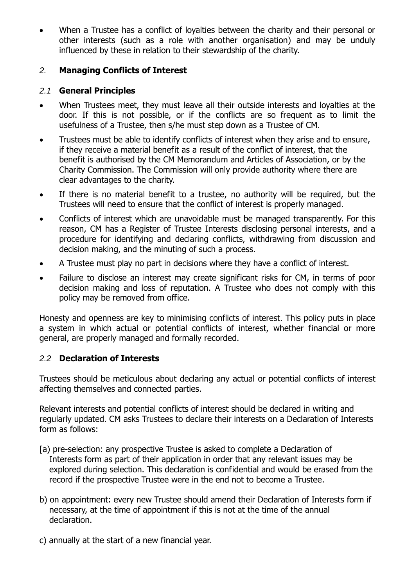• When a Trustee has a conflict of loyalties between the charity and their personal or other interests (such as a role with another organisation) and may be unduly influenced by these in relation to their stewardship of the charity.

# *2.* **Managing Conflicts of Interest**

## *2.1* **General Principles**

- When Trustees meet, they must leave all their outside interests and loyalties at the door. If this is not possible, or if the conflicts are so frequent as to limit the usefulness of a Trustee, then s/he must step down as a Trustee of CM.
- Trustees must be able to identify conflicts of interest when they arise and to ensure, if they receive a material benefit as a result of the conflict of interest, that the benefit is authorised by the CM Memorandum and Articles of Association, or by the Charity Commission. The Commission will only provide authority where there are clear advantages to the charity.
- If there is no material benefit to a trustee, no authority will be required, but the Trustees will need to ensure that the conflict of interest is properly managed.
- Conflicts of interest which are unavoidable must be managed transparently. For this reason, CM has a Register of Trustee Interests disclosing personal interests, and a procedure for identifying and declaring conflicts, withdrawing from discussion and decision making, and the minuting of such a process.
- A Trustee must play no part in decisions where they have a conflict of interest.
- Failure to disclose an interest may create significant risks for CM, in terms of poor decision making and loss of reputation. A Trustee who does not comply with this policy may be removed from office.

Honesty and openness are key to minimising conflicts of interest. This policy puts in place a system in which actual or potential conflicts of interest, whether financial or more general, are properly managed and formally recorded.

### *2.2* **Declaration of Interests**

Trustees should be meticulous about declaring any actual or potential conflicts of interest affecting themselves and connected parties.

Relevant interests and potential conflicts of interest should be declared in writing and regularly updated. CM asks Trustees to declare their interests on a Declaration of Interests form as follows:

- [a) pre-selection: any prospective Trustee is asked to complete a Declaration of Interests form as part of their application in order that any relevant issues may be explored during selection. This declaration is confidential and would be erased from the record if the prospective Trustee were in the end not to become a Trustee.
- b) on appointment: every new Trustee should amend their Declaration of Interests form if necessary, at the time of appointment if this is not at the time of the annual declaration.
- c) annually at the start of a new financial year.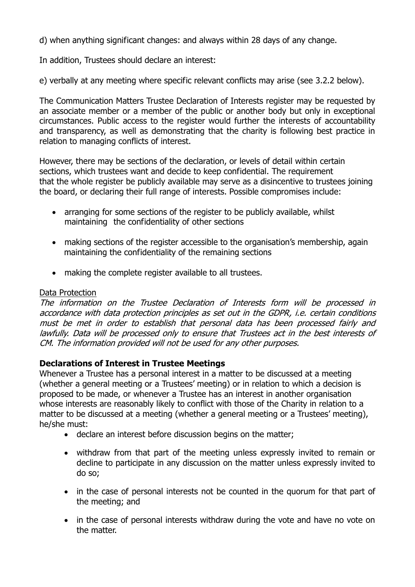d) when anything significant changes: and always within 28 days of any change.

In addition, Trustees should declare an interest:

e) verbally at any meeting where specific relevant conflicts may arise (see 3.2.2 below).

The Communication Matters Trustee Declaration of Interests register may be requested by an associate member or a member of the public or another body but only in exceptional circumstances. Public access to the register would further the interests of accountability and transparency, as well as demonstrating that the charity is following best practice in relation to managing conflicts of interest.

However, there may be sections of the declaration, or levels of detail within certain sections, which trustees want and decide to keep confidential. The requirement that the whole register be publicly available may serve as a disincentive to trustees joining the board, or declaring their full range of interests. Possible compromises include:

- arranging for some sections of the register to be publicly available, whilst maintaining the confidentiality of other sections
- making sections of the register accessible to the organisation's membership, again maintaining the confidentiality of the remaining sections
- making the complete register available to all trustees.

#### Data Protection

The information on the Trustee Declaration of Interests form will be processed in accordance with data protection principles as set out in the GDPR, i.e. certain conditions must be met in order to establish that personal data has been processed fairly and lawfully. Data will be processed only to ensure that Trustees act in the best interests of CM. The information provided will not be used for any other purposes.

### **Declarations of Interest in Trustee Meetings**

Whenever a Trustee has a personal interest in a matter to be discussed at a meeting (whether a general meeting or a Trustees' meeting) or in relation to which a decision is proposed to be made, or whenever a Trustee has an interest in another organisation whose interests are reasonably likely to conflict with those of the Charity in relation to a matter to be discussed at a meeting (whether a general meeting or a Trustees' meeting), he/she must:

- declare an interest before discussion begins on the matter;
- withdraw from that part of the meeting unless expressly invited to remain or decline to participate in any discussion on the matter unless expressly invited to do so;
- in the case of personal interests not be counted in the quorum for that part of the meeting; and
- in the case of personal interests withdraw during the vote and have no vote on the matter.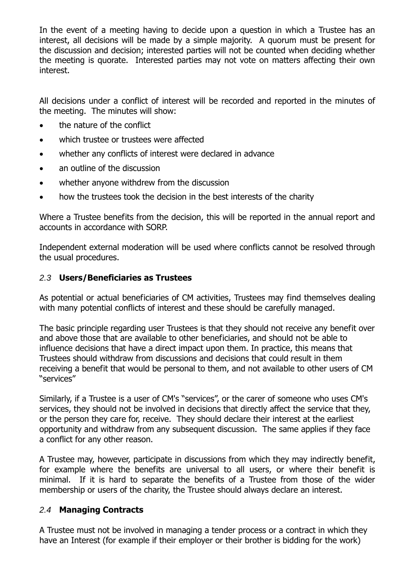In the event of a meeting having to decide upon a question in which a Trustee has an interest, all decisions will be made by a simple majority. A quorum must be present for the discussion and decision; interested parties will not be counted when deciding whether the meeting is quorate. Interested parties may not vote on matters affecting their own interest.

All decisions under a conflict of interest will be recorded and reported in the minutes of the meeting. The minutes will show:

- the nature of the conflict
- which trustee or trustees were affected
- whether any conflicts of interest were declared in advance
- an outline of the discussion
- whether anyone withdrew from the discussion
- how the trustees took the decision in the best interests of the charity

Where a Trustee benefits from the decision, this will be reported in the annual report and accounts in accordance with SORP.

Independent external moderation will be used where conflicts cannot be resolved through the usual procedures.

# *2.3* **Users/Beneficiaries as Trustees**

As potential or actual beneficiaries of CM activities, Trustees may find themselves dealing with many potential conflicts of interest and these should be carefully managed.

The basic principle regarding user Trustees is that they should not receive any benefit over and above those that are available to other beneficiaries, and should not be able to influence decisions that have a direct impact upon them. In practice, this means that Trustees should withdraw from discussions and decisions that could result in them receiving a benefit that would be personal to them, and not available to other users of CM "services"

Similarly, if a Trustee is a user of CM's "services", or the carer of someone who uses CM's services, they should not be involved in decisions that directly affect the service that they, or the person they care for, receive. They should declare their interest at the earliest opportunity and withdraw from any subsequent discussion. The same applies if they face a conflict for any other reason.

A Trustee may, however, participate in discussions from which they may indirectly benefit, for example where the benefits are universal to all users, or where their benefit is minimal. If it is hard to separate the benefits of a Trustee from those of the wider membership or users of the charity, the Trustee should always declare an interest.

# *2.4* **Managing Contracts**

A Trustee must not be involved in managing a tender process or a contract in which they have an Interest (for example if their employer or their brother is bidding for the work)